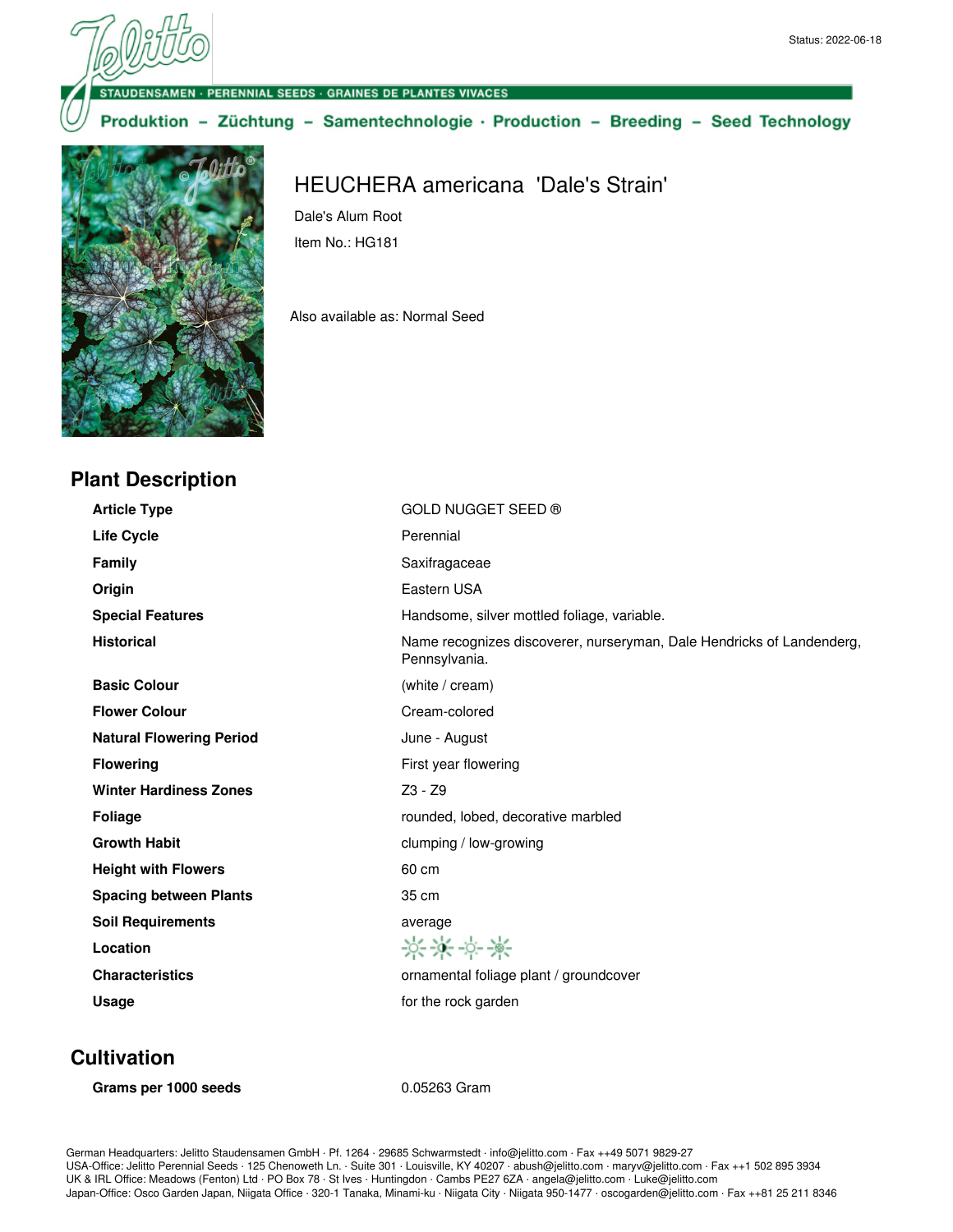ENSAMEN · PERENNIAL SEEDS · GRAINES DE PLANTES VIVACES

Dale's Alum Root Item No.: HG181

Also available as: Normal Seed

Produktion - Züchtung - Samentechnologie · Production - Breeding - Seed Technology

HEUCHERA americana 'Dale's Strain'



### **Plant Description**

**Article Type** GOLD NUGGET SEED ® Life Cycle **Cycle Perennial Family** Saxifragaceae **Origin** Eastern USA **Special Features Handsome, silver mottled foliage, variable. Historical** Name recognizes discoverer, nurseryman, Dale Hendricks of Landenderg, Pennsylvania. **Basic Colour** (white / cream) **Flower Colour** Cream-colored **Natural Flowering Period** June - August **Flowering** First year flowering **Winter Hardiness Zones Z3 - Z3 - Z9 Foliage** rounded, lobed, decorative marbled **Growth Habit Contract Contract Contract Contract Contract Contract Contract Contract Contract Contract Contract Contract Contract Contract Contract Contract Contract Contract Contract Contract Contract Contract Contract Height with Flowers** 60 cm **Spacing between Plants 35 cm Soil Requirements** average 英米文美 **Location Characteristics Characteristics ornamental foliage plant / groundcover** Usage **Usage for the rock garden** 

### **Cultivation**

**Grams per 1000 seeds** 0.05263 Gram